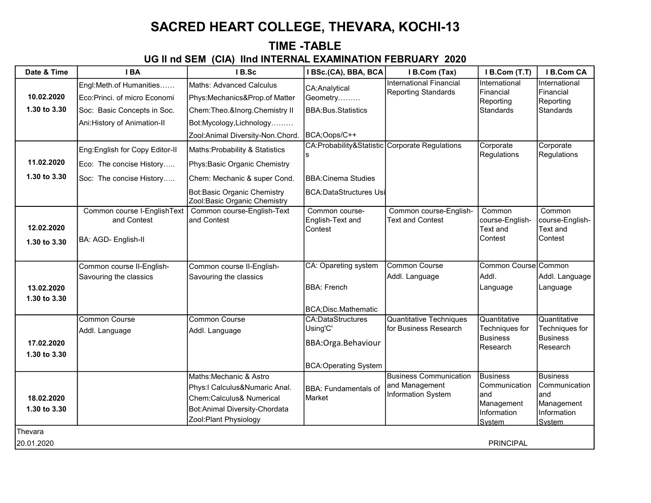## SACRED HEART COLLEGE, THEVARA, KOCHI-13

### TIME -TABLE UG II nd SEM (CIA) IInd INTERNAL EXAMINATION FEBRUARY 2020

| Date & Time                | IBA                                                                                    | IB.Sc                                                                                                                                          | I BSc.(CA), BBA, BCA                                                                        | I B.Com (Tax)                                                         | I B.Com (T.T)                                                                   | I B.Com CA                                                                     |
|----------------------------|----------------------------------------------------------------------------------------|------------------------------------------------------------------------------------------------------------------------------------------------|---------------------------------------------------------------------------------------------|-----------------------------------------------------------------------|---------------------------------------------------------------------------------|--------------------------------------------------------------------------------|
| 10.02.2020<br>1.30 to 3.30 | Engl:Meth.of Humanities<br>Eco:Princi. of micro Economi<br>Soc: Basic Concepts in Soc. | Maths: Advanced Calculus<br>Phys:Mechanics&Prop.of Matter<br>Chem: Theo. & Inorg. Chemistry II                                                 | CA:Analytical<br>Geometry<br><b>BBA:Bus.Statistics</b>                                      | <b>International Financial</b><br>Reporting Standards                 | International<br>Financial<br>Reporting<br><b>Standards</b>                     | International<br>Financial<br>Reporting<br><b>Standards</b>                    |
|                            | Ani:History of Animation-II                                                            | Bot:Mycology,Lichnology<br>Zool:Animal Diversity-Non.Chord.                                                                                    | BCA;Oops/C++                                                                                |                                                                       |                                                                                 |                                                                                |
| 11.02.2020                 | Eng: English for Copy Editor-II<br>Eco: The concise History                            | Maths: Probability & Statistics<br>Phys:Basic Organic Chemistry                                                                                | CA:Probability&Statistic Corporate Regulations                                              |                                                                       | Corporate<br><b>Regulations</b>                                                 | Corporate<br>Regulations                                                       |
| 1.30 to 3.30               | Soc: The concise History                                                               | Chem: Mechanic & super Cond.<br>Bot:Basic Organic Chemistry<br>Zool:Basic Organic Chemistry                                                    | <b>BBA:Cinema Studies</b><br>BCA:DataStructures Usi                                         |                                                                       |                                                                                 |                                                                                |
| 12.02.2020<br>1.30 to 3.30 | Common course I-EnglishText<br>and Contest<br>BA: AGD- English-II                      | Common course-English-Text<br>and Contest                                                                                                      | Common course-<br>English-Text and<br>Contest                                               | Common course-English-<br><b>Text and Contest</b>                     | Common<br>course-English-<br>Text and<br>Contest                                | Common<br>course-English-<br>Text and<br>Contest                               |
| 13.02.2020<br>1.30 to 3.30 | Common course II-English-<br>Savouring the classics                                    | Common course II-English-<br>Savouring the classics                                                                                            | <b>CA: Opareting system</b><br><b>BBA: French</b><br>BCA;Disc.Mathematic                    | Common Course<br>Addl. Language                                       | Common Course Common<br>Addl.<br>Language                                       | Addl. Language<br>Language                                                     |
| 17.02.2020<br>1.30 to 3.30 | <b>Common Course</b><br>Addl. Language                                                 | <b>Common Course</b><br>Addl. Language                                                                                                         | <b>CA:DataStructures</b><br>Using'C'<br>BBA: Orga. Behaviour<br><b>BCA:Operating System</b> | <b>Quantitative Techniques</b><br>for Business Research               | Quantitative<br>Techniques for<br><b>Business</b><br>Research                   | Quantitative<br>Techniques for<br><b>Business</b><br>Research                  |
| 18.02.2020<br>1.30 to 3.30 |                                                                                        | Maths: Mechanic & Astro<br>Phys:I Calculus&Numaric Anal.<br>Chem:Calculus& Numerical<br>Bot:Animal Diversity-Chordata<br>Zool:Plant Physiology | <b>BBA: Fundamentals of</b><br>Market                                                       | <b>Business Communication</b><br>and Management<br>Information System | <b>Business</b><br>Communication<br>land<br>Management<br>Information<br>System | <b>Business</b><br>Communication<br>and<br>Management<br>Information<br>System |
| Thevara<br>20.01.2020      |                                                                                        |                                                                                                                                                |                                                                                             |                                                                       | <b>PRINCIPAL</b>                                                                |                                                                                |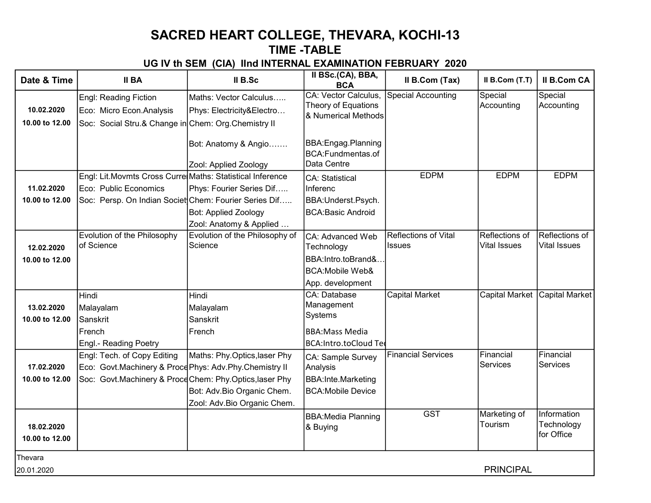# SACRED HEART COLLEGE, THEVARA, KOCHI-13

### TIME -TABLE

#### UG IV th SEM (CIA) IInd INTERNAL EXAMINATION FEBRUARY 2020

| Date & Time                  | <b>II BA</b>                                              | II B.Sc                                       | II BSc.(CA), BBA,<br><b>BCA</b>                          | Il B.Com (Tax)              | II B.Com (T.T)          | <b>II B.Com CA</b>                      |
|------------------------------|-----------------------------------------------------------|-----------------------------------------------|----------------------------------------------------------|-----------------------------|-------------------------|-----------------------------------------|
|                              | Engl: Reading Fiction                                     | Maths: Vector Calculus                        | CA: Vector Calculus,<br>Theory of Equations              | <b>Special Accounting</b>   | Special<br>Accounting   | Special<br>Accounting                   |
| 10.02.2020                   | Eco: Micro Econ. Analysis                                 | Phys: Electricity&Electro                     | & Numerical Methods                                      |                             |                         |                                         |
| 10.00 to 12.00               | Soc: Social Stru.& Change in Chem: Org. Chemistry II      |                                               |                                                          |                             |                         |                                         |
|                              |                                                           | Bot: Anatomy & Angio<br>Zool: Applied Zoology | BBA: Engag. Planning<br>BCA:Fundmentas.of<br>Data Centre |                             |                         |                                         |
|                              | Engl: Lit.Movmts Cross Curre Maths: Statistical Inference |                                               | <b>ICA: Statistical</b>                                  | <b>EDPM</b>                 | <b>EDPM</b>             | <b>EDPM</b>                             |
| 11.02.2020                   | Eco: Public Economics                                     | Phys: Fourier Series Dif                      | Inferenc                                                 |                             |                         |                                         |
| 10.00 to 12.00               | Soc: Persp. On Indian Societ Chem: Fourier Series Dif     |                                               | BBA: Underst. Psych.                                     |                             |                         |                                         |
|                              |                                                           | <b>Bot: Applied Zoology</b>                   | <b>BCA:Basic Android</b>                                 |                             |                         |                                         |
|                              |                                                           | Zool: Anatomy & Applied                       |                                                          |                             |                         |                                         |
|                              | Evolution of the Philosophy                               | Evolution of the Philosophy of                | CA: Advanced Web                                         | <b>Reflections of Vital</b> | Reflections of          | Reflections of                          |
| 12.02.2020                   | of Science                                                | Science                                       | Technology                                               | <b>Issues</b>               | <b>Vital Issues</b>     | <b>Vital Issues</b>                     |
| 10.00 to 12.00               |                                                           |                                               | BBA:Intro.toBrand&                                       |                             |                         |                                         |
|                              |                                                           |                                               | <b>BCA:Mobile Web&amp;</b>                               |                             |                         |                                         |
|                              |                                                           |                                               | App. development                                         |                             |                         |                                         |
|                              | Hindi                                                     | Hindi                                         | <b>ICA: Database</b>                                     | <b>Capital Market</b>       | <b>Capital Market</b>   | <b>Capital Market</b>                   |
| 13.02.2020                   | Malayalam                                                 | Malayalam                                     | Management                                               |                             |                         |                                         |
| 10.00 to 12.00               | Sanskrit                                                  | Sanskrit                                      | Systems                                                  |                             |                         |                                         |
|                              | French                                                    | French                                        | <b>BBA:Mass Media</b>                                    |                             |                         |                                         |
|                              | Engl.- Reading Poetry                                     |                                               | BCA:Intro.toCloud Ter                                    |                             |                         |                                         |
|                              | Engl: Tech. of Copy Editing                               | Maths: Phy.Optics,laser Phy                   | CA: Sample Survey                                        | <b>Financial Services</b>   | Financial               | Financial                               |
| 17.02.2020                   | Eco: Govt.Machinery & Proce Phys: Adv.Phy.Chemistry II    |                                               | Analysis                                                 |                             | Services                | <b>Services</b>                         |
| 10.00 to 12.00               | Soc: Govt.Machinery & Proce Chem: Phy.Optics, laser Phy   |                                               | BBA:Inte.Marketing                                       |                             |                         |                                         |
|                              |                                                           | Bot: Adv.Bio Organic Chem.                    | <b>BCA:Mobile Device</b>                                 |                             |                         |                                         |
|                              |                                                           | Zool: Adv.Bio Organic Chem.                   |                                                          |                             |                         |                                         |
| 18.02.2020<br>10.00 to 12.00 |                                                           |                                               | BBA:Media Planning<br>& Buying                           | <b>GST</b>                  | Marketing of<br>Tourism | Information<br>Technology<br>for Office |
| Thevara                      |                                                           |                                               |                                                          |                             |                         |                                         |
| 20.01.2020                   |                                                           |                                               |                                                          |                             | <b>PRINCIPAL</b>        |                                         |